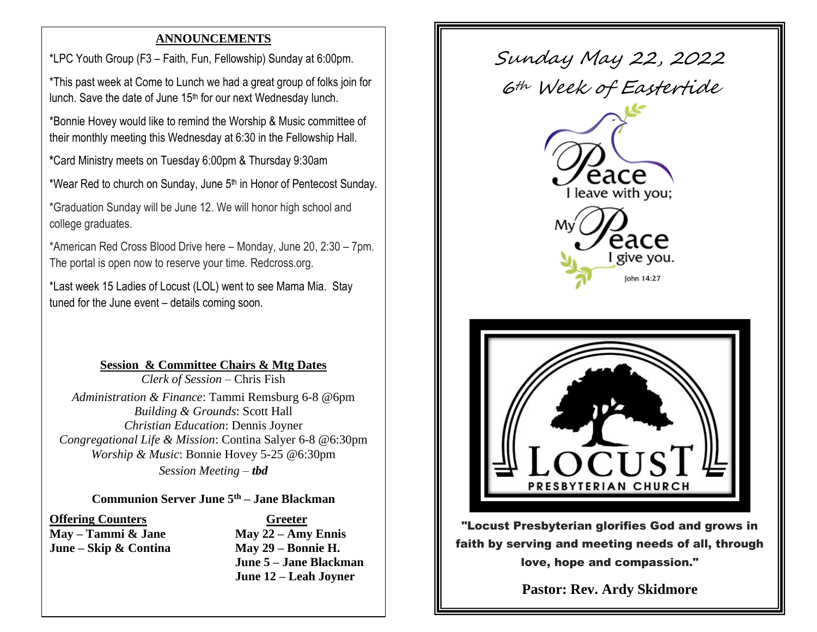### **ANNOUNCEMENTS**

 \*LPC Youth Group (F3 – Faith, Fun, Fellowship) Sunday at 6:00pm.

\*This past week at Come to Lunch we had a great group of folks join for lunch. Save the date of June 15<sup>th</sup> for our next Wednesday lunch.

\*Bonnie Hovey would like to remind the Worship & Music committee of their monthly meeting this Wednesday at 6:30 in the Fellowship Hall.

**\***Card Ministry meets on Tuesday 6:00pm & Thursday 9:30am

\*Wear Red to church on Sunday, June  $5<sup>th</sup>$  in Honor of Pentecost Sunday.

\*Graduation Sunday will be June 12. We will honor high school and college graduates.

\*American Red Cross Blood Drive here – Monday, June 20, 2:30 – 7pm. The portal is open now to reserve your time. Redcross.org.

\*Last week 15 Ladies of Locust (LOL) went to see Mama Mia. Stay tuned for the June event – details coming soon.

## **Session & Committee Chairs & Mtg Dates**

*Clerk of Session* – Chris Fish *Administration & Finance*: Tammi Remsburg 6-8 @6pm *Building & Grounds*: Scott Hall *Christian Education*: Dennis Joyner *Congregational Life & Mission*: Contina Salyer 6-8 @6:30pm *Worship & Music*: Bonnie Hovey 5-25 @6:30pm

*Session Meeting – tbd*

### **Communion Server June 5th – Jane Blackman**

# **Offering Counters Greeter**

**May – Tammi & Jane May 22 – Amy Ennis June – Skip & Contina May 29 – Bonnie H. June 5 – Jane Blackman June 12 – Leah Joyner**



"Locust Presbyterian glorifies God and grows in faith by serving and meeting needs of all, through love, hope and compassion."

**Pastor: Rev. Ardy Skidmore**

**[revardylpc@gmail.com](mailto:revardylpc@gmail.com)**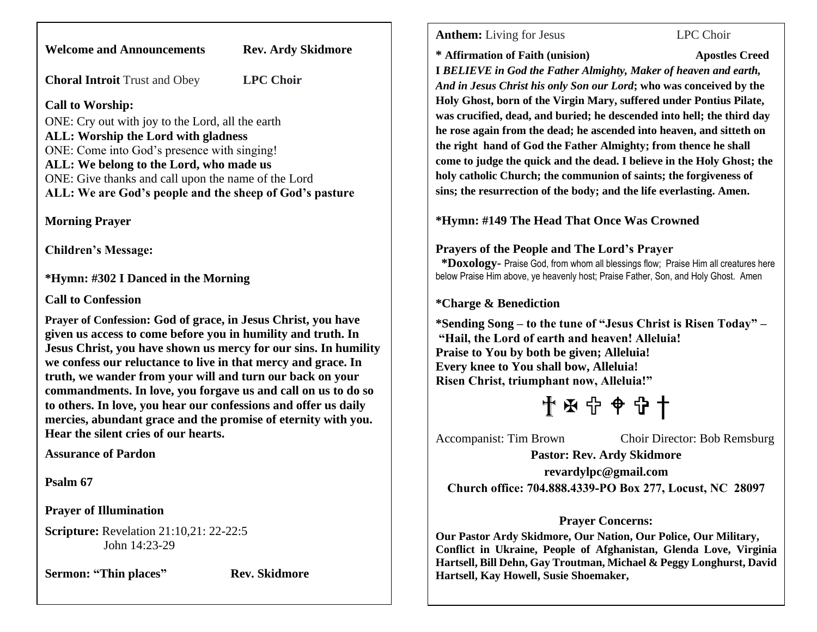**Welcome and Announcements Rev. Ardy Skidmore**

**Choral Introit** Trust and Obey **LPC Choir**

**Call to Worship:**

ONE: Cry out with joy to the Lord, all the earth **ALL: Worship the Lord with gladness** ONE: Come into God's presence with singing! **ALL: We belong to the Lord, who made us** ONE: Give thanks and call upon the name of the Lord **ALL: We are God's people and the sheep of God's pasture**

**Morning Prayer**

**Children's Message:**

**\*Hymn: #302 I Danced in the Morning**

**Call to Confession**

**Prayer of Confession: God of grace, in Jesus Christ, you have given us access to come before you in humility and truth. In Jesus Christ, you have shown us mercy for our sins. In humility we confess our reluctance to live in that mercy and grace. In truth, we wander from your will and turn our back on your commandments. In love, you forgave us and call on us to do so to others. In love, you hear our confessions and offer us daily mercies, abundant grace and the promise of eternity with you. Hear the silent cries of our hearts.**

**Assurance of Pardon**

**Psalm 67**

**Prayer of Illumination**

**Scripture:** Revelation 21:10,21: 22-22:5 John 14:23-29

**Sermon: "Thin places"** Rev. Skidmore

**Anthem:** Living for Jesus LPC Choir

**\* Affirmation of Faith (unision) Apostles Creed** 

**I** *BELIEVE in God the Father Almighty, Maker of heaven and earth, And in Jesus Christ his only Son our Lord***; who was conceived by the Holy Ghost, born of the Virgin Mary, suffered under Pontius Pilate, was crucified, dead, and buried; he descended into hell; the third day he rose again from the dead; he ascended into heaven, and sitteth on the right hand of God the Father Almighty; from thence he shall come to judge the quick and the dead. I believe in the Holy Ghost; the holy catholic Church; the communion of saints; the forgiveness of sins; the resurrection of the body; and the life everlasting. Amen.**

**\*Hymn: #149 The Head That Once Was Crowned**

### **Prayers of the People and The Lord's Prayer**

 **\*Doxology-** Praise God, from whom all blessings flow; Praise Him all creatures here below Praise Him above, ye heavenly host; Praise Father, Son, and Holy Ghost. Amen

## **\*Charge & Benediction**

**\*Sending Song – to the tune of "Jesus Christ is Risen Today" – "Hail, the Lord of earth and heaven! Alleluia! Praise to You by both be given; Alleluia! Every knee to You shall bow, Alleluia! Risen Christ, triumphant now, Alleluia!"**

† ϯ

Accompanist: Tim Brown Choir Director: Bob Remsburg

**Pastor: Rev. Ardy Skidmore**

**[revardylpc@gmail.com](mailto:revardylpc@gmail.com) Church office: 704.888.4339-PO Box 277, Locust, NC 28097**

## **Prayer Concerns:**

**Our Pastor Ardy Skidmore, Our Nation, Our Police, Our Military, Conflict in Ukraine, People of Afghanistan, Glenda Love, Virginia Hartsell, Bill Dehn, Gay Troutman, Michael & Peggy Longhurst, David Hartsell, Kay Howell, Susie Shoemaker,**